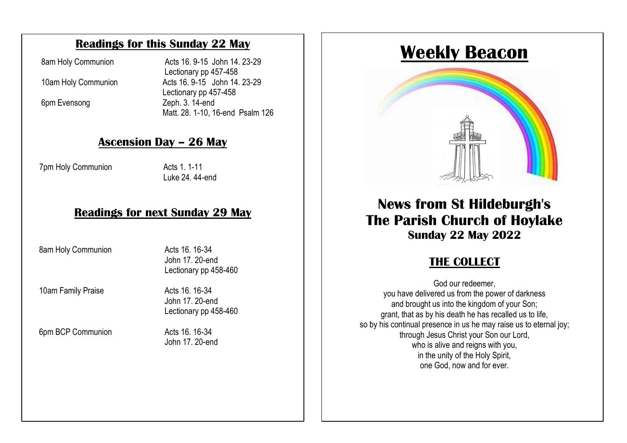#### **Readings for this Sunday 22 May**

8am Holy Communion Acts 16. 9-15 John 14. 23-29 Lectionary pp 457-458 10am Holy Communion Acts 16.9-15 John 14.23-29 Lectionary pp 457-458 6pm Evensong Zeph. 3. 14-end Matt. 28. 1-10, 16-end Psalm 126

# **<u>Ascension Day – 26 May</u>**

7pm Holy Communion Acts 1.1-11

 $L$ und $Z$ 4. 44-dilu Luke 24. 44-end

#### Deading far next Curday 00 May change as things develop. **Readings for next Sunday 29 May**

8am Holy Communion **Acts 16. 16-34**<br>190. 15 Apr 17, 200.

 $\sim$  service is also available to view on our website to view on our website to view on our website to view on our website to view on  $\sim$ The Church Centre remains close for the time being. John 17. 20-end Lectionary pp 458-460

10am Family Praise **Acts** 16. 16-34

 John 17. 20-end Lectionary pp 458-460

6pm BCP Communion Acts 16. 16-34

John 17. 20-end

# **Weekly Beacon**



# **News from St Hildeburgh's The Parish Church of Hoylake Sunday 22 May 2022**

# **THE COLLECT**

God our redeemer, you have delivered us from the power of darkness and brought us into the kingdom of your Son; grant, that as by his death he has recalled us to life, so by his continual presence in us he may raise us to eternal joy; through Jesus Christ your Son our Lord, who is alive and reigns with you, in the unity of the Holy Spirit, one God, now and for ever.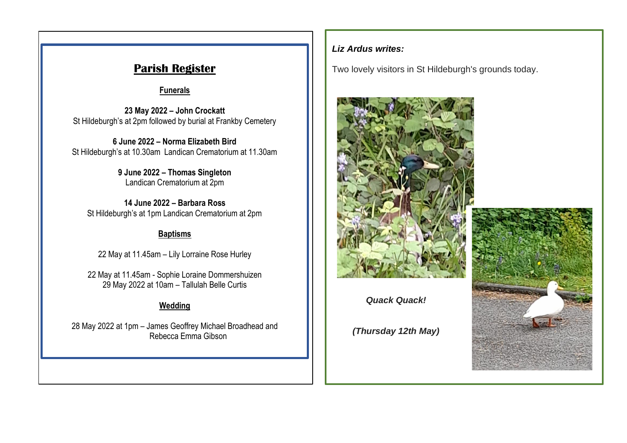**Funerals**

**23 May 2022 – John Crockatt** St Hildeburgh's at 2pm followed by burial at Frankby Cemetery

**6 June 2022 – Norma Elizabeth Bird** St Hildeburgh's at 10.30am Landican Crematorium at 11.30am

> **9 June 2022 – Thomas Singleton** Landican Crematorium at 2pm

**14 June 2022 – Barbara Ross** St Hildeburgh's at 1pm Landican Crematorium at 2pm

#### **Baptisms**

22 May at 11.45am – Lily Lorraine Rose Hurley

22 May at 11.45am - Sophie Loraine Dommershuizen 29 May 2022 at 10am – Tallulah Belle Curtis

### **Wedding**

28 May 2022 at 1pm – James Geoffrey Michael Broadhead and Rebecca Emma Gibson

#### *Liz Ardus writes:*

**Parish Register** Two lovely visitors in St Hildeburgh's grounds today.



*Quack Quack!*

*(Thursday 12th May)*

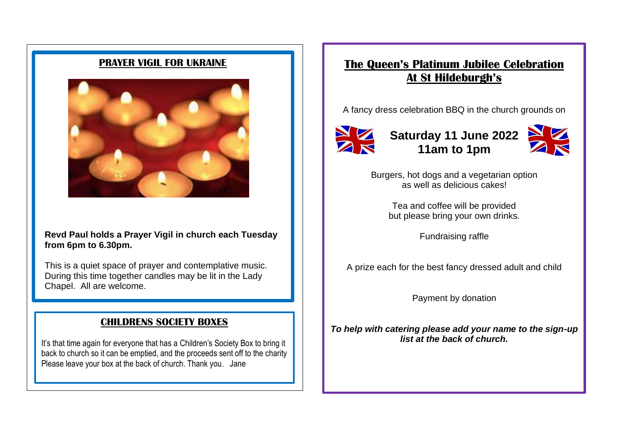#### **PRAYER VIGIL FOR UKRAINE**



#### **Revd Paul holds a Prayer Vigil in church each Tuesday from 6pm to 6.30pm.**

This is a quiet space of prayer and contemplative music. During this time together candles may be lit in the Lady Chapel. All are welcome.

#### **CHILDRENS SOCIETY BOXES**

It's that time again for everyone that has a Children's Society Box to bring it back to church so it can be emptied, and the proceeds sent off to the charity Please leave your box at the back of church. Thank you. Jane

## **The Queen's Platinum Jubilee Celebration At St Hildeburgh's**

A fancy dress celebration BBQ in the church grounds on



**Saturday 11 June 2022 11am to 1pm**



Burgers, hot dogs and a vegetarian option as well as delicious cakes!

> Tea and coffee will be provided but please bring your own drinks.

> > Fundraising raffle

A prize each for the best fancy dressed adult and child

Payment by donation

*To help with catering please add your name to the sign-up list at the back of church.*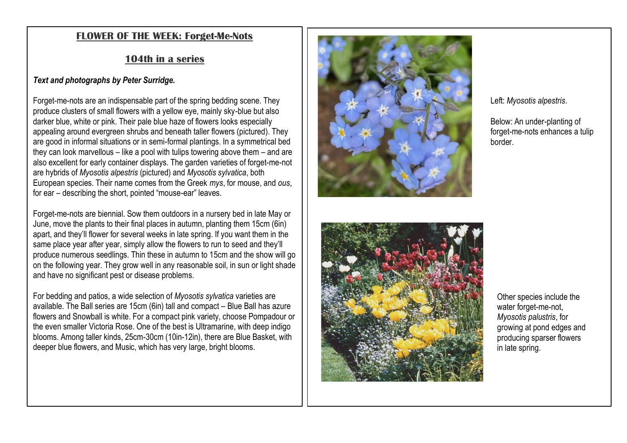#### **FLOWER OF THE WEEK : Forget -Me -Nots**

#### **104th in a series**

#### *Text and photographs by Peter Surridge.*

Forget-me-nots are an indispensable part of the spring bedding scene. They produce clusters of small flowers with a yellow eye, mainly sky -blue but also darker blue, white or pink. Their pale blue haze of flowers looks especially appealing around evergreen shrubs and beneath taller flowers (pictured). They are good in informal situations or in semi -formal plantings. In a symmetrical bed they can look marvellous – like a pool with tulips towering above them – and are also excellent for early container displays. The garden varieties of forget -me -not are hybrids of *Myosotis alpestris* (pictured) and *Myosotis sylvatica*, both European species. Their name comes from the Greek *mys*, for mouse, and *ous*, for ear – describing the short, pointed "mouse -ear" leaves.

Forget -me -nots are biennial. Sow them outdoors in a nursery bed in late May or June, move the plants to their final places in autumn, planting them 15cm (6in) apart, and they'll flower for several weeks in late spring. If you want them in the same place year after year, simply allow the flowers to run to seed and they'll produce numerous seedlings. Thin these in autumn to 15cm and the show will go on the following year. They grow well in any reasonable soil, in sun or light shade and have no significant pest or disease problems.

For bedding and patios, a wide selection of *Myosotis sylvatica* varieties are available. The Ball series are 15cm (6in) tall and compact – Blue Ball has azure flowers and Snowball is white. For a compact pink variety, choose Pompadour or the even smaller Victoria Rose. One of the best is Ultramarine, with deep indigo blooms. Among taller kinds, 25cm -30cm (10in -12in), there are Blue Basket, with deeper blue flowers, and Music, which has very large, bright blooms.





Left: *Myosotis alpestris*.

Below: An under -planting of forget -me -nots enhances a tulip border.

Other species include the water forget-me-not, *Myosotis palustris*, for growing at pond edges and producing sparser flowers in late spring.